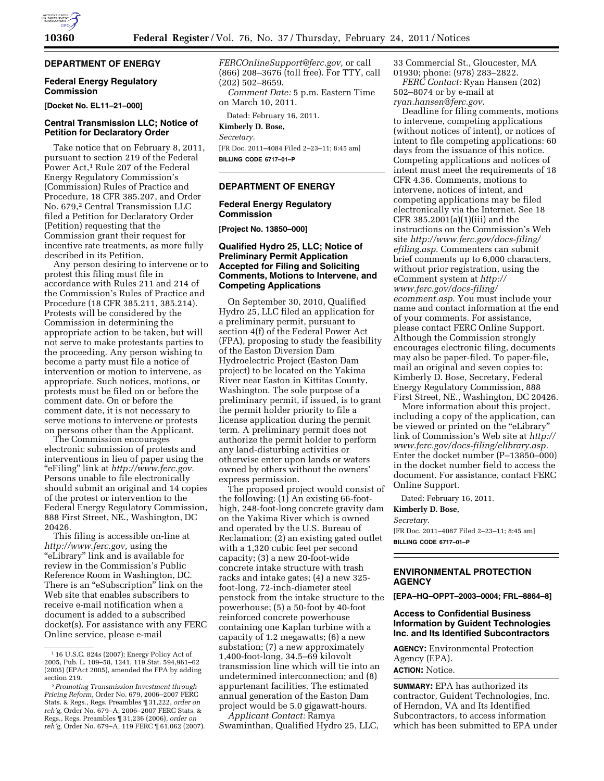# **DEPARTMENT OF ENERGY**

## **Federal Energy Regulatory Commission**

**[Docket No. EL11–21–000]** 

## **Central Transmission LLC; Notice of Petition for Declaratory Order**

Take notice that on February 8, 2011, pursuant to section 219 of the Federal Power Act,<sup>1</sup> Rule 207 of the Federal Energy Regulatory Commission's (Commission) Rules of Practice and Procedure, 18 CFR 385.207, and Order No. 679,2 Central Transmission LLC filed a Petition for Declaratory Order (Petition) requesting that the Commission grant their request for incentive rate treatments, as more fully described in its Petition.

Any person desiring to intervene or to protest this filing must file in accordance with Rules 211 and 214 of the Commission's Rules of Practice and Procedure (18 CFR 385.211, 385.214). Protests will be considered by the Commission in determining the appropriate action to be taken, but will not serve to make protestants parties to the proceeding. Any person wishing to become a party must file a notice of intervention or motion to intervene, as appropriate. Such notices, motions, or protests must be filed on or before the comment date. On or before the comment date, it is not necessary to serve motions to intervene or protests on persons other than the Applicant.

The Commission encourages electronic submission of protests and interventions in lieu of paper using the ''eFiling'' link at *[http://www.ferc.gov.](http://www.ferc.gov)*  Persons unable to file electronically should submit an original and 14 copies of the protest or intervention to the Federal Energy Regulatory Commission, 888 First Street, NE., Washington, DC 20426.

This filing is accessible on-line at *[http://www.ferc.gov,](http://www.ferc.gov)* using the ''eLibrary'' link and is available for review in the Commission's Public Reference Room in Washington, DC. There is an "eSubscription" link on the Web site that enables subscribers to receive e-mail notification when a document is added to a subscribed docket(s). For assistance with any FERC Online service, please e-mail

*[FERCOnlineSupport@ferc.gov,](mailto:FERCOnlineSupport@ferc.gov)* or call (866) 208–3676 (toll free). For TTY, call (202) 502–8659. *Comment Date:* 5 p.m. Eastern Time

Dated: February 16, 2011.

**Kimberly D. Bose,** 

on March 10, 2011.

*Secretary.* 

[FR Doc. 2011–4084 Filed 2–23–11; 8:45 am] **BILLING CODE 6717–01–P** 

## **DEPARTMENT OF ENERGY**

# **Federal Energy Regulatory Commission**

**[Project No. 13850–000]** 

# **Qualified Hydro 25, LLC; Notice of Preliminary Permit Application Accepted for Filing and Soliciting Comments, Motions to Intervene, and Competing Applications**

On September 30, 2010, Qualified Hydro 25, LLC filed an application for a preliminary permit, pursuant to section 4(f) of the Federal Power Act (FPA), proposing to study the feasibility of the Easton Diversion Dam Hydroelectric Project (Easton Dam project) to be located on the Yakima River near Easton in Kittitas County, Washington. The sole purpose of a preliminary permit, if issued, is to grant the permit holder priority to file a license application during the permit term. A preliminary permit does not authorize the permit holder to perform any land-disturbing activities or otherwise enter upon lands or waters owned by others without the owners' express permission.

The proposed project would consist of the following: (1) An existing 66-foothigh, 248-foot-long concrete gravity dam on the Yakima River which is owned and operated by the U.S. Bureau of Reclamation; (2) an existing gated outlet with a 1,320 cubic feet per second capacity; (3) a new 20-foot-wide concrete intake structure with trash racks and intake gates; (4) a new 325 foot-long, 72-inch-diameter steel penstock from the intake structure to the powerhouse; (5) a 50-foot by 40-foot reinforced concrete powerhouse containing one Kaplan turbine with a capacity of 1.2 megawatts; (6) a new substation; (7) a new approximately 1,400-foot-long, 34.5–69 kilovolt transmission line which will tie into an undetermined interconnection; and (8) appurtenant facilities. The estimated annual generation of the Easton Dam project would be 5.0 gigawatt-hours.

*Applicant Contact:* Ramya Swaminthan, Qualified Hydro 25, LLC, 33 Commercial St., Gloucester, MA 01930; phone: (978) 283–2822.

*FERC Contact:* Ryan Hansen (202) 502–8074 or by e-mail at

*[ryan.hansen@ferc.gov.](mailto:ryan.hansen@ferc.gov)* 

Deadline for filing comments, motions to intervene, competing applications (without notices of intent), or notices of intent to file competing applications: 60 days from the issuance of this notice. Competing applications and notices of intent must meet the requirements of 18 CFR 4.36. Comments, motions to intervene, notices of intent, and competing applications may be filed electronically via the Internet. See 18 CFR 385.2001(a)(1)(iii) and the instructions on the Commission's Web site *[http://www.ferc.gov/docs-filing/](http://www.ferc.gov/docs-filing/efiling.asp) [efiling.asp](http://www.ferc.gov/docs-filing/efiling.asp)*. Commenters can submit brief comments up to 6,000 characters, without prior registration, using the eComment system at *[http://](http://www.ferc.gov/docs-filing/ecomment.asp) [www.ferc.gov/docs-filing/](http://www.ferc.gov/docs-filing/ecomment.asp)  [ecomment.asp](http://www.ferc.gov/docs-filing/ecomment.asp)*. You must include your name and contact information at the end of your comments. For assistance, please contact FERC Online Support. Although the Commission strongly encourages electronic filing, documents may also be paper-filed. To paper-file, mail an original and seven copies to: Kimberly D. Bose, Secretary, Federal Energy Regulatory Commission, 888 First Street, NE., Washington, DC 20426.

More information about this project, including a copy of the application, can be viewed or printed on the "eLibrary" link of Commission's Web site at *[http://](http://www.ferc.gov/docs-filing/elibrary.asp) [www.ferc.gov/docs-filing/elibrary.asp.](http://www.ferc.gov/docs-filing/elibrary.asp)*  Enter the docket number (P–13850–000) in the docket number field to access the document. For assistance, contact FERC Online Support.

Dated: February 16, 2011.

## **Kimberly D. Bose,**

*Secretary.* 

[FR Doc. 2011–4087 Filed 2–23–11; 8:45 am] **BILLING CODE 6717–01–P** 

# **ENVIRONMENTAL PROTECTION AGENCY**

**[EPA–HQ–OPPT–2003–0004; FRL–8864–8]** 

## **Access to Confidential Business Information by Guident Technologies Inc. and Its Identified Subcontractors**

**AGENCY:** Environmental Protection Agency (EPA). **ACTION:** Notice.

**SUMMARY:** EPA has authorized its contractor, Guident Technologies, Inc. of Herndon, VA and Its Identified Subcontractors, to access information which has been submitted to EPA under

<sup>1</sup> 16 U.S.C. 824s (2007); Energy Policy Act of 2005, Pub. L. 109–58, 1241, 119 Stat. 594,961–62 (2005) (EPAct 2005), amended the FPA by adding section 219.

<sup>2</sup>*Promoting Transmission Investment through Pricing Reform,* Order No. 679, 2006–2007 FERC Stats. & Regs., Regs. Preambles ¶ 31,222, *order on reh'g,* Order No. 679–A, 2006–2007 FERC Stats. & Regs., Regs. Preambles ¶ 31,236 (2006), *order on reh'g,* Order No. 679–A, 119 FERC ¶ 61,062 (2007).